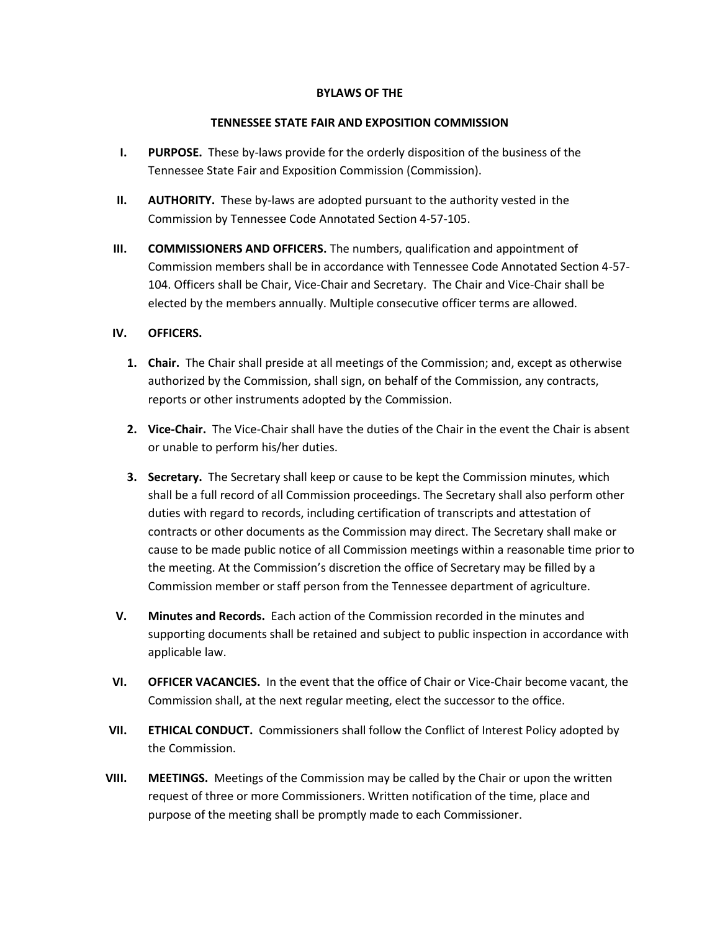## **BYLAWS OF THE**

## **TENNESSEE STATE FAIR AND EXPOSITION COMMISSION**

- **I. PURPOSE.** These by-laws provide for the orderly disposition of the business of the Tennessee State Fair and Exposition Commission (Commission).
- **II. AUTHORITY.** These by-laws are adopted pursuant to the authority vested in the Commission by Tennessee Code Annotated Section 4-57-105.
- **III. COMMISSIONERS AND OFFICERS.** The numbers, qualification and appointment of Commission members shall be in accordance with Tennessee Code Annotated Section 4-57- 104. Officers shall be Chair, Vice-Chair and Secretary. The Chair and Vice-Chair shall be elected by the members annually. Multiple consecutive officer terms are allowed.

## **IV. OFFICERS.**

- **1. Chair.** The Chair shall preside at all meetings of the Commission; and, except as otherwise authorized by the Commission, shall sign, on behalf of the Commission, any contracts, reports or other instruments adopted by the Commission.
- **2. Vice-Chair.** The Vice-Chair shall have the duties of the Chair in the event the Chair is absent or unable to perform his/her duties.
- **3. Secretary.** The Secretary shall keep or cause to be kept the Commission minutes, which shall be a full record of all Commission proceedings. The Secretary shall also perform other duties with regard to records, including certification of transcripts and attestation of contracts or other documents as the Commission may direct. The Secretary shall make or cause to be made public notice of all Commission meetings within a reasonable time prior to the meeting. At the Commission's discretion the office of Secretary may be filled by a Commission member or staff person from the Tennessee department of agriculture.
- **V. Minutes and Records.** Each action of the Commission recorded in the minutes and supporting documents shall be retained and subject to public inspection in accordance with applicable law.
- **VI. OFFICER VACANCIES.** In the event that the office of Chair or Vice-Chair become vacant, the Commission shall, at the next regular meeting, elect the successor to the office.
- **VII. ETHICAL CONDUCT.** Commissioners shall follow the Conflict of Interest Policy adopted by the Commission.
- **VIII. MEETINGS.** Meetings of the Commission may be called by the Chair or upon the written request of three or more Commissioners. Written notification of the time, place and purpose of the meeting shall be promptly made to each Commissioner.